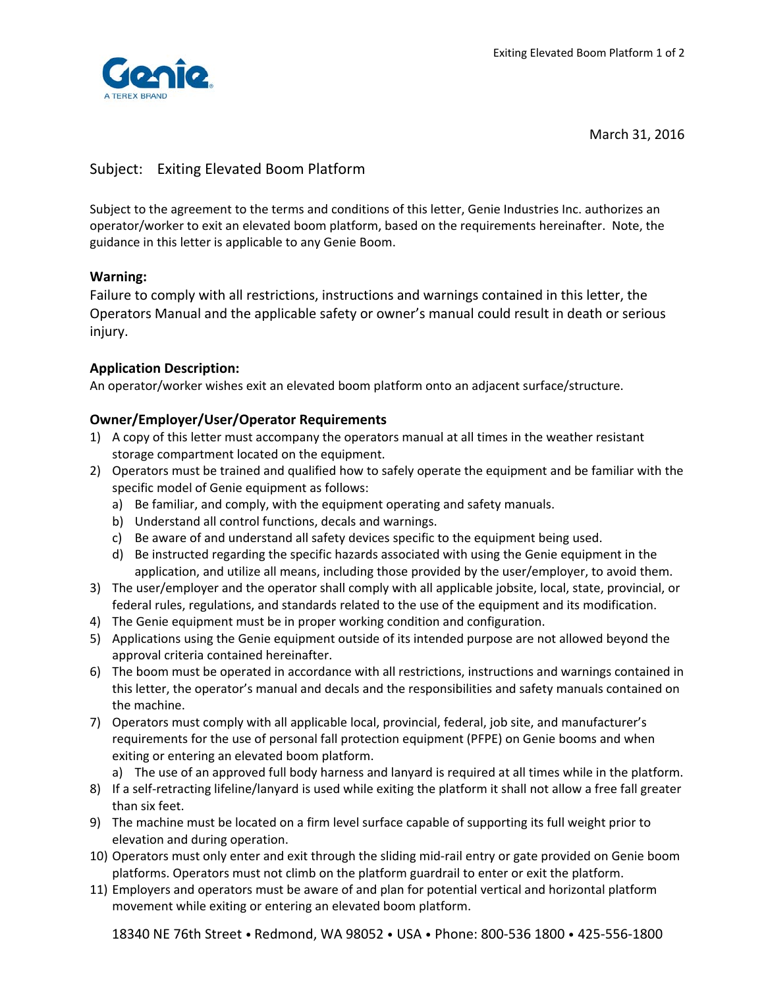

March 31, 2016

# Subject: Exiting Elevated Boom Platform

Subject to the agreement to the terms and conditions of this letter, Genie Industries Inc. authorizes an operator/worker to exit an elevated boom platform, based on the requirements hereinafter. Note, the guidance in this letter is applicable to any Genie Boom.

## **Warning:**

Failure to comply with all restrictions, instructions and warnings contained in this letter, the Operators Manual and the applicable safety or owner's manual could result in death or serious injury.

#### **Application Description:**

An operator/worker wishes exit an elevated boom platform onto an adjacent surface/structure.

## **Owner/Employer/User/Operator Requirements**

- 1) A copy of this letter must accompany the operators manual at all times in the weather resistant storage compartment located on the equipment.
- 2) Operators must be trained and qualified how to safely operate the equipment and be familiar with the specific model of Genie equipment as follows:
	- a) Be familiar, and comply, with the equipment operating and safety manuals.
	- b) Understand all control functions, decals and warnings.
	- c) Be aware of and understand all safety devices specific to the equipment being used.
	- d) Be instructed regarding the specific hazards associated with using the Genie equipment in the application, and utilize all means, including those provided by the user/employer, to avoid them.
- 3) The user/employer and the operator shall comply with all applicable jobsite, local, state, provincial, or federal rules, regulations, and standards related to the use of the equipment and its modification.
- 4) The Genie equipment must be in proper working condition and configuration.
- 5) Applications using the Genie equipment outside of its intended purpose are not allowed beyond the approval criteria contained hereinafter.
- 6) The boom must be operated in accordance with all restrictions, instructions and warnings contained in this letter, the operator's manual and decals and the responsibilities and safety manuals contained on the machine.
- 7) Operators must comply with all applicable local, provincial, federal, job site, and manufacturer's requirements for the use of personal fall protection equipment (PFPE) on Genie booms and when exiting or entering an elevated boom platform.
	- a) The use of an approved full body harness and lanyard is required at all times while in the platform.
- 8) If a self-retracting lifeline/lanyard is used while exiting the platform it shall not allow a free fall greater than six feet.
- 9) The machine must be located on a firm level surface capable of supporting its full weight prior to elevation and during operation.
- 10) Operators must only enter and exit through the sliding mid-rail entry or gate provided on Genie boom platforms. Operators must not climb on the platform guardrail to enter or exit the platform.
- 11) Employers and operators must be aware of and plan for potential vertical and horizontal platform movement while exiting or entering an elevated boom platform.